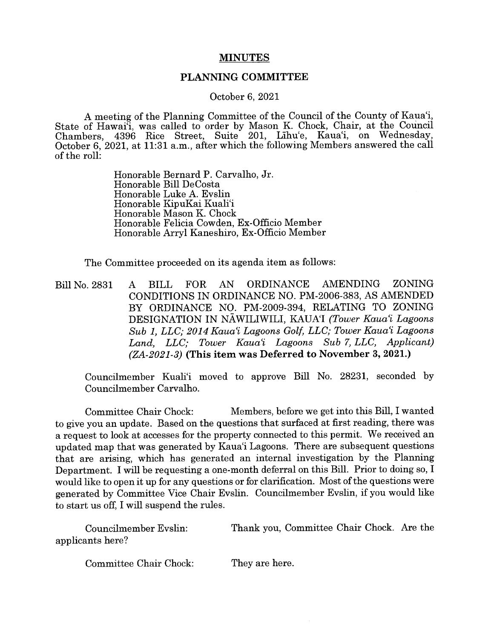## **MINUTES**

## PLANNING COMMITTEE

October 6, 2021

A meeting of the Planning Committee of the Council of the County of Kaua'i, State of Hawai'i, was called to order by Mason K. Chock, Chair, at the Council Chambers, 4396 Rice Street, Suite 201, Lihu'e, Kaua'i, on Wednesday, October 6, 2021, at 11:31 a.m., after which the following Members answered the call of the roll:

> Honorable Bernard P. Carvaiho, Jr. Honorable Bill DeCosta Honorable Luke A. Evslin Honorable KipuKai Kuali'i Honorable Mason K. Chock Honorable Felicia Cowden, Ex-Officio Member Honorable Arryl Kaneshiro, Ex-Officio Member

The Committee proceeded on its agenda item as follows:

Bill No. 2831 A BILL FOR AN ORDINANCE AMENDING ZONING CONDITIONS IN ORDINANCE NO. PM-2006-383, AS AMENDED BY ORDINANCE NO. PM-2009-394, RELATING TO ZONING DESIGNATION IN NAWILIWILI, KAUA'I (Tower Kaua'i Lagoons Sub 1, LLC; 2014 Kaua'i Lagoons Golf, LLC; Tower Kaua'i Lagoons Land, LLC; Tower Kaua'i Lagoons Sub 7, LLC, Applicant) (ZA-2021-3) (This item was Deferred to November 3, 2021.)

Councilmember Kuali'i moved to approve Bill No. 28231, seconded by Councilmember Carvaiho.

Committee Chair Chock: Members, before we get into this Bill, I wanted to give you an update. Based on the questions that surfaced at first reading, there was a request to look at accesses for the property connected to this permit. We received an updated map that was generated by Kaua'i Lagoons. There are subsequent questions that are arising, which has generated an internal investigation by the Planning Department. I will be requesting a one-month deferral on this Bill. Prior to doing so, I would like to open it up for any questions or for clarification. Most of the questions were generated by Committee Vice Chair Evslin. Councilmember Evslin, if you would like to start us off, I will suspend the rules.

Councilmember Evslin: Thank you, Committee Chair Chock. Are the applicants here?

Committee Chair Chock: They are here.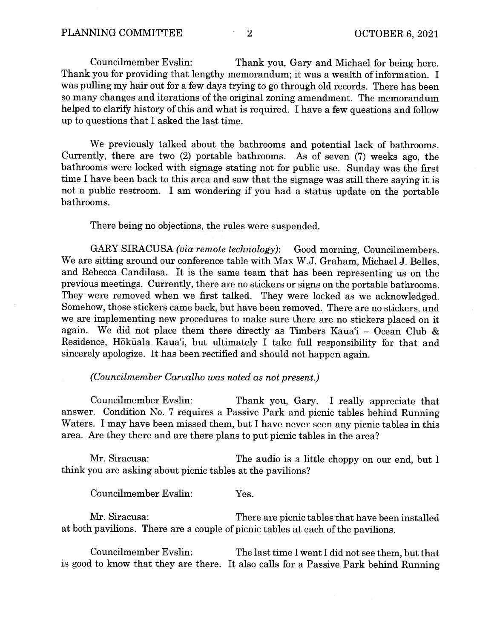Councilmember Evslin: Thank you, Gary and Michael for being here. Thank you for providing that lengthy memorandum; it was <sup>a</sup> wealth of information. I was pulling my hair out for a few days trying to go through old records. There has been so many changes and iterations of the original zoning amendment. The memorandum helped to clarify history of this and what is required. I have a few questions and follow up to questions that I asked the last time.

We previously talked about the bathrooms and potential lack of bathrooms. Currently, there are two (2) portable bathrooms. As of seven (7) weeks ago, the bathrooms were locked with signage stating not for public use. Sunday was the first time I have been back to this area and saw that the signage was still there saying it is not <sup>a</sup> public restroom. I am wondering if you had <sup>a</sup> status update on the portable bathrooms.

There being no objections, the rules were suspended.

GARY SIRACUSA (via remote technology): Good morning, Councilmembers. We are sitting around our conference table with Max W.J. Graham, Michael J. Belles, and Rebecca Candilasa. It is the same team that has been representing us on the previous meetings. Currently, there are no stickers or signs on the portable bathrooms. They were removed when we first talked. They were locked as we acknowledged. Somehow, those stickers came back, but have been removed. There are no stickers, and we are implementing new procedures to make sure there are no stickers placed on it again. We did not place them there directly as Timbers Kaua'i — Ocean Club & Residence, Hökãala Kaua'i, but ultimately I take full responsibility for that and sincerely apologize. It has been rectified and should not happen again.

## (Councilmember Carvalho was noted as not present.)

Councilmember Evslin: Thank you, Gary. I really appreciate that answer. Condition No. 7 requires a Passive Park and picnic tables behind Running Waters. I may have been missed them, but I have never seen any picnic tables in this area. Are they there and are there plans to put picnic tables in the area?

Mr. Siracusa: The audio is a little choppy on our end, but I think you are asking about picnic tables at the pavilions?

Councilmember Evslin: Yes.

Mr. Siracusa: There are picnic tables that have been installed at both pavilions. There are a couple of picnic tables at each of the pavilions.

Councilmember Evslin: The last time I went I did not see them, hut that is good to know that they are there. It also calls for <sup>a</sup> Passive Park behind Running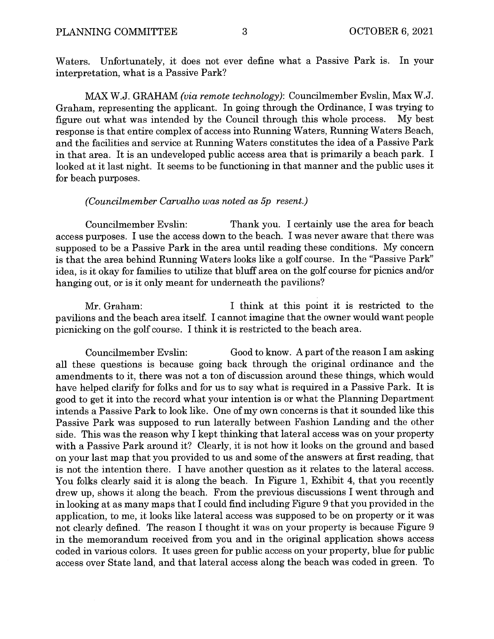Waters. Unfortunately, it does not ever define what <sup>a</sup> Passive Park is. In your interpretation, what is a Passive Park?

MAX W.J. GRAHAM (via remote technology): Councilmember Evslin, Max W.J. Graham, representing the applicant. In going through the Ordinance, I was trying to figure out what was intended by the Council through this whole process. My best response is that entire complex of access into Running Waters, Running Waters Beach, and the facilities and service at Running Waters constitutes the idea of a Passive Park in that area. It is an undeveloped public access area that is primarily <sup>a</sup> beach park. I looked at it last night. It seems to be functioning in that manner and the public uses it for beach purposes.

## (Councilmember Carvalho was noted as 5p resent.)

Councilmember Evslin: Thank you. I certainly use the area for beach access purposes. I use the access down to the beach. I was never aware that there was supposed to be a Passive Park in the area until reading these conditions. My concern is that the area behind Running Waters looks like a golf course. In the "Passive Park" idea, is it okay for families to utilize that bluff area on the golf course for picnics and/or hanging out, or is it only meant for underneath the pavilions?

Mr. Graham: I think at this point it is restricted to the pavilions and the beach area itself. I cannot imagine that the owner would want people picnicking on the golf course. I think it is restricted to the beach area.

Councilmember Evslin: Good to know. A part of the reason I am asking all these questions is because going back through the original ordinance and the amendments to it, there was not a ton of discussion around these things, which would have helped clarify for folks and for us to say what is required in <sup>a</sup> Passive Park. It is good to get it into the record what your intention is or what the Planning Department intends <sup>a</sup> Passive Park to look like. One of my own concerns is that it sounded like this Passive Park was supposed to run laterally between Fashion Landing and the other side. This was the reason why I kept thinking that lateral access was on your property with <sup>a</sup> Passive Park around it? Clearly, it is not how it looks on the ground and based on your last map that you provided to us and some of the answers at first reading, that is not the intention there. I have another question as it relates to the lateral access. You folks clearly said it is along the beach. In Figure 1, Exhibit 4, that you recently drew up, shows it along the beach. From the previous discussions I went through and in looking at as many maps that I could find including Figure 9 that you provided in the application, to me, it looks like lateral access was supposed to be on property or it was not clearly defined. The reason I thought it was on your property is because Figure <sup>9</sup> in the memorandum received from you and in the original application shows access coded in various colors. It uses green for public access on your property, blue for public access over State land, and that lateral access along the beach was coded in green. To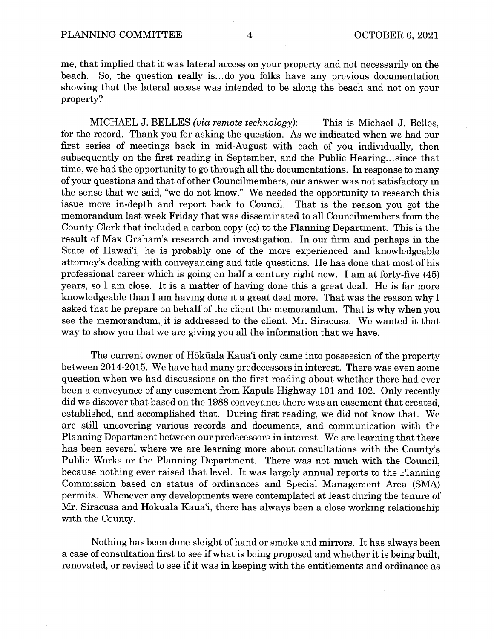me, that implied that it was lateral access on your property and not necessarily on the beach. So, the question really is... do you folks have any previous documentation showing that the lateral access was intended to be along the beach and not on your property?

MICHAEL J. BELLES (via remote technology): This is Michael J. Belles, for the record. Thank you for asking the question. As we indicated when we had our first series of meetings back in mid-August with each of you individually, then subsequently on the first reading in September, and the Public Hearing.., since that time, we had the opportunity to go through all the documentations. In response to many of your questions and that of other Councilmembers, our answer was not satisfactory in the sense that we said, "we do not know." We needed the opportunity to research this issue more in-depth and report back to Council. That is the reason you got the memorandum last week Friday that was disseminated to all Councilmembers from the County Clerk that included a carbon copy (cc) to the Planning Department. This is the result of Max Graham's research and investigation. In our firm and perhaps in the State of Hawai'i, he is probably one of the more experienced and knowledgeable attorney's dealing with conveyancing and title questions. He has done that most of his professional career which is going on half a century right now. I am at forty-five (45) years, so I am close. It is <sup>a</sup> matter of having done this <sup>a</sup> great deal. He is far more knowledgeable than I am having done it <sup>a</sup> great deal more. That was the reason why I asked that he prepare on behalf of the client the memorandum. That is why when you see the memorandum, it is addressed to the client, Mr. Siracusa. We wanted it that way to show you that we are giving you all the information that we have.

The current owner of Höküala Kaua'i only came into possession of the property between 2014-2015. We have had many predecessors in interest. There was even some question when we had discussions on the first reading about whether there had ever been a conveyance of any easement from Kapule Highway 101 and 102. Only recently did we discover that based on the 1988 conveyance there was an easement that created, established, and accomplished that. During first reading, we did not know that. We are still uncovering various records and documents, and communication with the Planning Department between our predecessors in interest. We are learning that there has been several where we are learning more about consultations with the County's Public Works or the Planning Department. There was not much with the Council, because nothing ever raised that level. It was largely annual reports to the Planning Commission based on status of ordinances and Special Management Area (SMA) permits. Whenever any developments were contemplated at least during the tenure of Mr. Siracusa and Höküala Kaua'i, there has always been a close working relationship with the County.

Nothing has been done sleight of hand or smoke and mirrors. It has always been <sup>a</sup> case of consultation first to see ifwhat is being proposed and whether it is being built, renovated, or revised to see if it was in keeping with the entitlements and ordinance as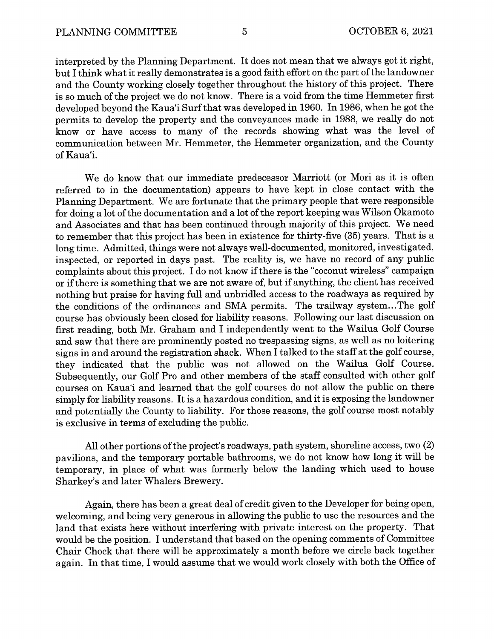interpreted by the Planning Department. It does not mean that we always got it right, but I think what it really demonstrates is a good faith effort on the part of the landowner and the County working closely together throughout the history of this project. There is so much of the project we do not know. There is a void from the time Hemmeter first developed beyond the Kaua'i Surf that was developed in 1960. In 1986, when he got the permits to develop the property and the conveyances made in 1988, we really do not know or have access to many of the records showing what was the level of communication between Mr. Hemmeter, the Hemmeter organization, and the County of Kaua'i.

We do know that our immediate predecessor Marriott (or Mori as it is often referred to in the documentation) appears to have kept in close contact with the Planning Department. We are fortunate that the primary people that were responsible for doing a lot of the documentation and a lot of the report keeping was Wilson Okamoto and Associates and that has been continued through majority of this project. We need to remember that this project has been in existence for thirty-five (35) years. That is a long time. Admitted, things were not always well-documented, monitored, investigated, inspected, or reported in days past. The reality is, we have no record of any public complaints about this project. I do not know if there is the "coconut wireless" campaign or ifthere is something that we are not aware of, but if anything, the client has received nothing but praise for having full and unbridled access to the roadways as required by the conditions of the ordinances and SMA permits. The trailway system...The golf course has obviously been closed for liability reasons. Following our last discussion on first reading, both Mr. Graham and I independently went to the Wailua Golf Course and saw that there are prominently posted no trespassing signs, as well as no loitering signs in and around the registration shack. When I talked to the staff at the golf course, they indicated that the public was not allowed on the Wailua Golf Course. Subsequently, our Golf Pro and other members of the staff consulted with other golf courses on Kaua'i and learned that the golf courses do not allow the public on there simply for liability reasons. It is <sup>a</sup> hazardous condition, and it is exposing the landowner and potentially the County to liability. For those reasons, the golf course most notably is exclusive in terms of excluding the public.

All other portions of the project's roadways, path system, shoreline access, two (2) pavilions, and the temporary portable bathrooms, we do not know how long it wifi be temporary, in place of what was formerly below the landing which used to house Sharkey's and later Whalers Brewery.

Again, there has been a great deal of credit given to the Developer for being open, welcoming, and being very generous in allowing the public to use the resources and the land that exists here without interfering with private interest on the property. That would be the position. I understand that based on the opening comments of Committee Chair Chock that there will be approximately <sup>a</sup> month before we circle back together again. In that time, I would assume that we would work closely with both the Office of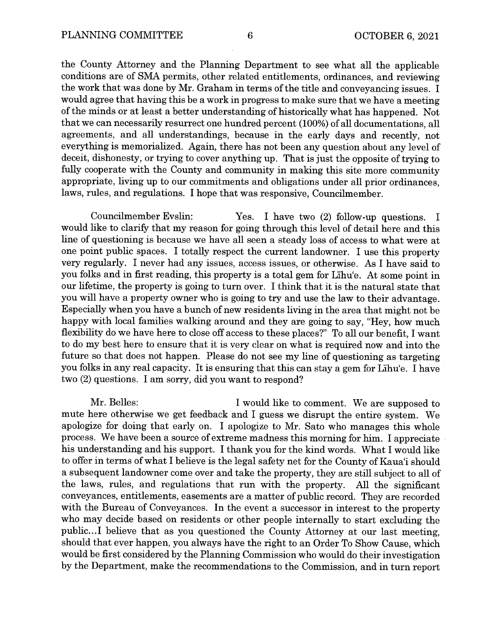the County Attorney and the Planning Department to see what all the applicable conditions are of SMA permits, other related entitlements, ordinances, and reviewing the work that was done by Mr. Graham in terms of the title and conveyancing issues. I would agree that having this be a work in progress to make sure that we have a meeting of the minds or at least a better understanding of historically what has happened. Not that we can necessarily resurrect one hundred percent (100%) of all documentations, all agreements, and all understandings, because in the early days and recently, not everything is memorialized. Again, there has not been any question about any level of deceit, dishonesty, or trying to cover anything up. That is just the opposite of trying to fully cooperate with the County and community in making this site more community appropriate, living up to our commitments and obligations under all prior ordinances, laws, rules, and regulations. I hope that was responsive, Councilmember.

Councilmember Evslin: Yes. I have two (2) follow-up questions. I would like to clarify that my reason for going through this level of detail here and this line of questioning is because we have all seen a steady loss of access to what were at one point public spaces. I totally respect the current landowner. I use this property very regularly. I never had any issues, access issues, or otherwise. As I have said to you folks and in first reading, this property is a total gem for Lihu'e. At some point in our lifetime, the property is going to turn over. I think that it is the natural state that you will have a property owner who is going to try and use the law to their advantage. Especially when you have a bunch of new residents living in the area that might not be happy with local families walking around and they are going to say, "Hey, how much flexibility do we have here to close off access to these places?" To all our benefit, I want to do my best here to ensure that it is very clear on what is required now and into the future so that does not happen. Please do not see my line of questioning as targeting you folks in any real capacity. It is ensuring that this can stay <sup>a</sup> gem for LIhu'e. I have two (2) questions. I am sorry, did you want to respond?

Mr. Belles: I would like to comment. We are supposed to mute here otherwise we get feedback and I guess we disrupt the entire system. We apologize for doing that early on. I apologize to Mr. Sato who manages this whole process. We have been a source of extreme madness this morning for him. I appreciate his understanding and his support. I thank you for the kind words. What I would like to offer in terms of what I believe is the legal safety net for the County of Kaua'i should a subsequent landowner come over and take the property, they are still subject to all of the laws, rules, and regulations that run with the property. All the significant conveyances, entitlements, easements are a matter of public record. They are recorded with the Bureau of Conveyances. In the event a successor in interest to the property who may decide based on residents or other people internally to start excluding the public...I believe that as you questioned the County Attorney at our last meeting, should that ever happen, you always have the right to an Order To Show Cause, which would be first considered by the Planning Commission who would do their investigation by the Department, make the recommendations to the Commission, and in turn report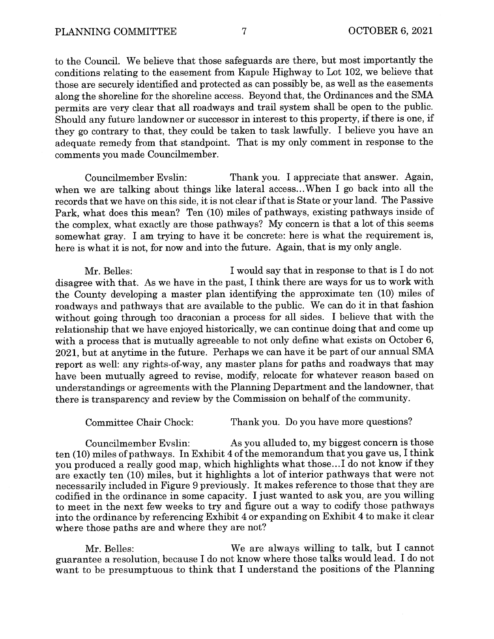to the Council. We believe that those safeguards are there, but most importantly the conditions relating to the easement from Kapule Highway to Lot 102, we believe that those are securely identified and protected as can possibly be, as well as the easements along the shoreline for the shoreline access. Beyond that, the Ordinances and the SMA permits are very clear that all roadways and trail system shall be open to the public. Should any future landowner or successor in interest to this property, if there is one, if they go contrary to that, they could be taken to task lawfully. I believe you have an adequate remedy from that standpoint. That is my only comment in response to the comments you made Councilmember.

Councilmember Evslin: Thank you. I appreciate that answer. Again, when we are talking about things like lateral access...When I go back into all the records that we have on this side, it is not clear ifthat is State or your land. The Passive Park, what does this mean? Ten (10) miles of pathways, existing pathways inside of the complex, what exactly are those pathways? My concern is that a lot of this seems somewhat gray. I am trying to have it be concrete: here is what the requirement is, here is what it is not, for now and into the future. Again, that is my only angle.

Mr. Belles: I would say that in response to that is I do not disagree with that. As we have in the past, I think there are ways for us to work with the County developing a master plan identifying the approximate ten (10) miles of roadways and pathways that are available to the public. We can do it in that fashion without going through too draconian a process for all sides. I believe that with the relationship that we have enjoyed historically, we can continue doing that and come up with a process that is mutually agreeable to not only define what exists on October 6, 2021, but at anytime in the future. Perhaps we can have it be part of our annual SMA report as well: any rights-of-way, any master plans for paths and roadways that may have been mutually agreed to revise, modify, relocate for whatever reason based on understandings or agreements with the Planning Department and the landowner, that there is transparency and review by the Commission on behalf of the community.

Committee Chair Chock: Thank you. Do you have more questions?

Councilmember Evslin: As you alluded to, my biggest concern is those ten (10) miles of pathways. In Exhibit 4 of the memorandum that you gave us, I think you produced <sup>a</sup> really good map, which highlights what those... I do not know if they are exactly ten (10) miles, but it highlights <sup>a</sup> lot of interior pathways that were not necessarily included in Figure <sup>9</sup> previously. It makes reference to those that they are codified in the ordinance in some capacity. I just wanted to ask you, are you willing to meet in the next few weeks to try and figure out <sup>a</sup> way to codify those pathways into the ordinance by referencing Exhibit <sup>4</sup> or expanding on Exhibit <sup>4</sup> to make it clear where those paths are and where they are not?

Mr. Belles: We are always willing to talk, but I cannot guarantee a resolution, because I do not know where those talks would lead. I do not want to be presumptuous to think that I understand the positions of the Planning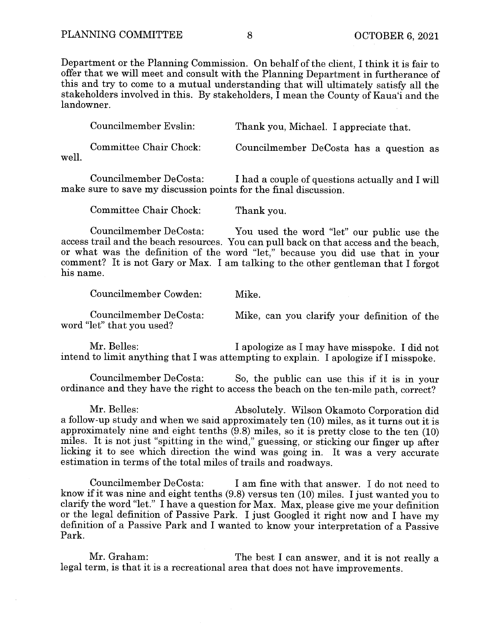Department or the Planning Commission. On behalf of the client, I think it is fair to offer that we will meet and consult with the Planning Department in furtherance of this and try to come to <sup>a</sup> mutual understanding that will ultimately satisfy all the stakeholders involved in this. By stakeholders, I mean the County of Kaua'i and the landowner.

Councilmember Evslin: Thank you, Michael. I appreciate that. Committee Chair Chock: Councilmember DeCosta has a question as

well.

Councilmember DeCosta: I had a couple of questions actually and I will make sure to save my discussion points for the final discussion.

Committee Chair Chock: Thank you.

Councilmember DeCosta: You used the word "let" our public use the access trail and the beach resources. You can pull back on that access and the beach, or what was the definition of the word "let," because you did use that in your comment? It is not Gary or Max. I am talking to the other gentleman that I forgot his name.

Councilmember Cowden: Mike.

Councilmember DeCosta: Mike, can you clarify your definition of the word "let" that you used?

Mr. Belles: I apologize as I may have misspoke. I did not intend to limit anything that I was attempting to explain. I apologize if I misspoke.

Councilmember DeCosta: So, the public can use this if it is in your ordinance and they have the right to access the beach on the ten-mile path, correct?

Mr. Belles: Absolutely. Wilson Okamoto Corporation did <sup>a</sup> follow-up study and when we said approximately ten (10) miles, as it turns out it is approximately nine and eight tenths (9.8) miles, so it is pretty close to the ten (10) miles. It is not just "spitting in the wind," guessing, or sticking our finger up after licking it to see which direction the wind was going in. It was <sup>a</sup> very accurate estimation in terms of the total miles of trails and roadways.

Councilmember DeCosta: I am fine with that answer. I do not need to know if it was nine and eight tenths (9.8) versus ten (10) miles. I just wanted you to clarify the word "let." I have a question for Max. Max, please give me your definition or the legal definition of Passive Park. I just Googled it right now and I have my definition of a Passive Park and I wanted to know your interpretation of a Passive Park.

Mr. Graham: The best I can answer, and it is not really a legal term, is that it is <sup>a</sup> recreational area that does not have improvements.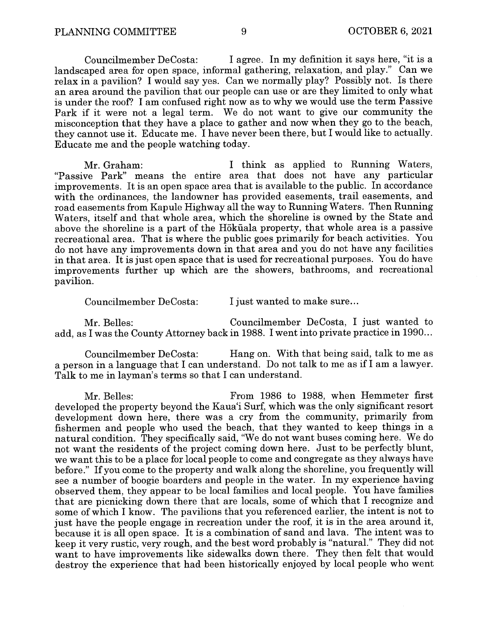Councilmember DeCosta: I agree. In my definition it says here, "it is <sup>a</sup> landscaped area for open space, informal gathering, relaxation, and play." Can we relax in a pavilion? I would say yes. Can we normally play? Possibly not. Is there an area around the pavilion that our people can use or are they limited to only what is under the roof? I am confused right now as to why we would use the term Passive Park if it were not <sup>a</sup> legal term. We do not want to give our community the misconception that they have a place to gather and now when they go to the beach, they cannot use it. Educate me. I have never been there, but I would like to actually. Educate me and the people watching today.

Mr. Graham: I think as applied to Running Waters, "Passive Park" means the entire area that does not have any particular improvements. It is an open space area that is available to the public. In accordance with the ordinances, the landowner has provided easements, trail easements, and road easements from Kapule Highway all the way to Running Waters. Then Running Waters, itself and that whole area, which the shoreline is owned by the State and above the shoreline is a part of the Hökãala property, that whole area is a passive recreational area. That is where the public goes primarily for beach activities. You do not have any improvements down in that area and you do not have any facilities in that area. It is just open space that is used for recreational purposes. You do have improvements further up which are the showers, bathrooms, and recreational pavilion.

Councilmember DeCosta: I just wanted to make sure...

Mr. Belles: Councilmember DeCosta, I just wanted to add, as I was the County Attorney back in 1988. I went into private practice in 1990...

Councilmember DeCosta: Hang on. With that being said, talk to me as <sup>a</sup> person in <sup>a</sup> language that I can understand. Do not talk to me as if I am <sup>a</sup> lawyer. Talk to me in layman's terms so that I can understand.

Mr. Belles: From 1986 to 1988, when Hemmeter first developed the property beyond the Kaua'i Surf, which was the only significant resort development down here, there was a cry from the community, primarily from fishermen and people who used the beach, that they wanted to keep things in a natural condition. They specifically said, "We do not want buses coming here. We do not want the residents of the project coming down here. Just to be perfectly blunt, we want this to be a place for local people to come and congregate as they always have before." If you come to the property and walk along the shoreline, you frequently will see a number of boogie boarders and people in the water. In my experience having observed them, they appear to be local families and local people. You have families that are picnicking down there that are locals, some of which that I recognize and some of which I know. The pavilions that you referenced earlier, the intent is not to just have the people engage in recreation under the roof, it is in the area around it, because it is all open space. It is <sup>a</sup> combination of sand and lava. The intent was to keep it very rustic, very rough, and the best word probably is "natural." They did not want to have improvements like sidewalks down there. They then felt that would destroy the experience that had been historically enjoyed by local people who went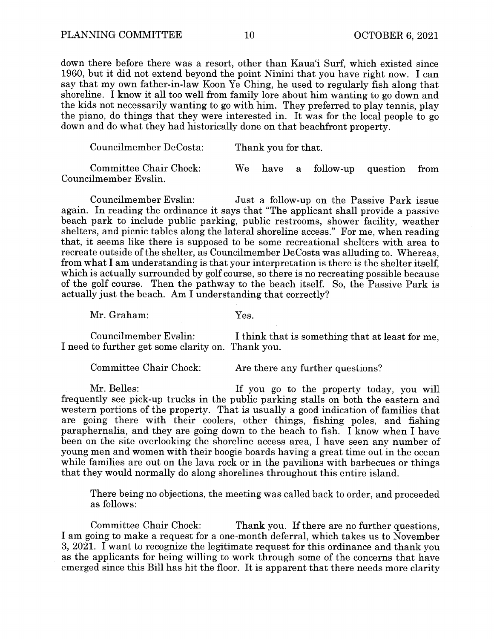down there before there was a resort, other than Kaua'i Surf, which existed since 1960, but it did not extend beyond the point Ninini that you have right now. I can say that my own father-in-law Koon Ye Ching, he used to regularly fish along that shoreline. I know it all too well from family lore about him wanting to go down and the kids not necessarily wanting to go with him. They preferred to play tennis, play the piano, do things that they were interested in. It was for the local people to go down and do what they had historically done on that beachfront property.

| Councilmember DeCosta:                          | Thank you for that. |  |  |                                   |  |  |
|-------------------------------------------------|---------------------|--|--|-----------------------------------|--|--|
| Committee Chair Chock:<br>Councilmember Evslin. |                     |  |  | We have a follow-up question from |  |  |

Councilmember Evslin: Just a follow-up on the Passive Park issue again. In reading the ordinance it says that "The applicant shall provide <sup>a</sup> passive beach park to include public parking, public restrooms, shower facility, weather shelters, and picnic tables along the lateral shoreline access." For me, when reading that, it seems like there is supposed to be some recreational shelters with area to recreate outside of the shelter, as Councilmember DeCosta was alluding to. Whereas, from what I am understanding is that your interpretation is there is the shelter itself, which is actually surrounded by golf course, so there is no recreating possible because of the golf course. Then the pathway to the beach itself. So, the Passive Park is actually just the beach. Am I understanding that correctly?

Mr. Graham: Yes.

Councilmember Evslin: I think that is something that at least for me, I need to further get some clarity on. Thank you.

Committee Chair Chock: Are there any further questions?

Mr. Belles: If you go to the property today, you will frequently see pick-up trucks in the public parking stalls on both the eastern and western portions of the property. That is usually a good indication of families that are going there with their coolers, other things, fishing poles, and fishing paraphernalia, and they are going down to the beach to fish. I know when I have been on the site overlooking the shoreline access area, I have seen any number of young men and women with their boogie boards having a great time out in the ocean while families are out on the lava rock or in the pavilions with barbecues or things that they would normally do along shorelines throughout this entire island.

There being no objections, the meeting was called back to order, and proceeded as follows:

Committee Chair Chock: Thank you. If there are no further questions, I am going to make a request for a one-month deferral, which takes us to November 3, 2021. I want to recognize the legitimate request for this ordinance and thank you as the applicants for being willing to work through some of the concerns that have emerged since this Bill has hit the floor. It is apparent that there needs more clarity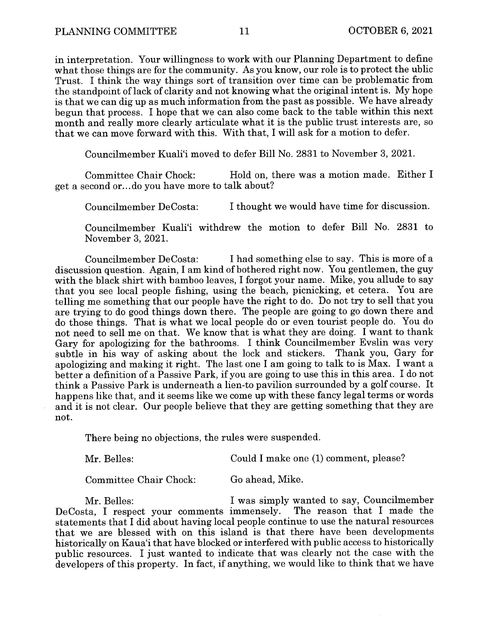in interpretation. Your willingness to work with our Planning Department to define what those things are for the community. As you know, our role is to protect the ublic Trust. I think the way things sort of transition over time can be problematic from the standpoint of lack of clarity and not knowing what the original intent is. My hope is that we can dig up as much information from the past as possible. We have already begun that process. I hope that we can also come back to the table within this next month and really more clearly articulate what it is the public trust interests are, so that we can move forward with this. With that, I will ask for <sup>a</sup> motion to defer.

Councilmember Kuali'i moved to defer Bill No. 2831 to November 3, 2021.

Committee Chair Chock: Hold on, there was a motion made. Either I get a second or... do you have more to talk about?

Councilmember DeCosta: I thought we would have time for discussion.

Councilmember Kuali'i withdrew the motion to defer Bill No. 2831 to November 3, 2021.

Councilmember DeCosta: I had something else to say. This is more of a discussion question. Again, I am kind of bothered right now. You gentlemen, the guy with the black shirt with bamboo leaves, I forgot your name. Mike, you allude to say that you see local people fishing, using the beach, picnicking, et cetera. You are telling me something that our people have the right to do. Do not try to sell that you are trying to do good things down there. The people are going to go down there and do those things. That is what we local people do or even tourist people do. You do not need to sell me on that. We know that is what they are doing. I want to thank Gary for apologizing for the bathrooms. I think Councilmember Evslin was very subtle in his way of asking about the lock and stickers. Thank you, Gary for subtle in his way of asking about the lock and stickers. apologizing and making it right. The last one I am going to talk to is Max. I want <sup>a</sup> better <sup>a</sup> definition of <sup>a</sup> Passive Park, if you are going to use this in this area. I do not think <sup>a</sup> Passive Park is underneath <sup>a</sup> lien-to pavilion surrounded by <sup>a</sup> golf course. It happens like that, and it seems like we come up with these fancy legal terms or words and it is not clear. Our people believe that they are getting something that they are not.

There being no objections, the rules were suspended.

Mr. Belles: Could I make one (1) comment, please?

Committee Chair Chock: Go ahead, Mike.

Mr. Belles: I was simply wanted to say, Councilmember DeCosta, I respect your comments immensely. The reason that I made the statements that I did about having local people continue to use the natural resources that we are blessed with on this island is that there have been developments historically on Kaua'i that have blocked or interfered with public access to historically public resources. I just wanted to indicate that was clearly not the case with the developers of this property. In fact, if anything, we would like to think that we have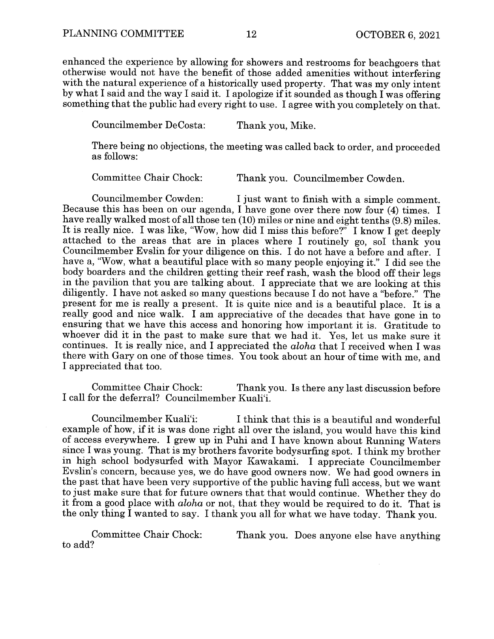$\bar{z}$ 

enhanced the experience by allowing for showers and restrooms for beachgoers that otherwise would not have the benefit of those added amenities without interfering with the natural experience of a historically used property. That was my only intent by what I said and the way I said it. I apologize if it sounded as though I was offering something that the public had every right to use. I agree with you completely on that.

Councilmember DeCosta: Thank you, Mike.

There being no objections, the meeting was called back to order, and proceeded as follows:

Committee Chair Chock: Thank you. Councilmember Cowden.

Councilmember Cowden: I just want to finish with a simple comment. Because this has been on our agenda, I have gone over there now four (4) times. I have really walked most of all those ten (10) miles or nine and eight tenths (9.8) miles. It is really nice. I was like, "Wow, how did I miss this before?" I know I get deeply attached to the areas that are in places where I routinely go, sol thank you Councilmember Evslin for your diligence on this. I do not have a before and after. I have a, "Wow, what a beautiful place with so many people enjoying it." I did see the body boarders and the children getting their reef rash, wash the blood off their legs in the pavilion that you are talking about. I appreciate that we are looking at this diligently. I have not asked so many questions because I do not have a "before." The present for me is really <sup>a</sup> present. It is quite nice and is <sup>a</sup> beautiful place. It is <sup>a</sup> really good and nice walk. I am appreciative of the decades that have gone in to ensuring that we have this access and honoring how important it is. Gratitude to whoever did it in the past to make sure that we had it. Yes, let us make sure it continues. It is really nice, and I appreciated the *aloha* that I received when I was there with Gary on one of those times. You took about an hour of time with me, and I appreciated that too.

Committee Chair Chock: Thank you. Is there any last discussion before I call for the deferral? Councilmember Kuali'i.

Councilmember Kuali'i: I think that this is a beautiful and wonderful example of how, if it is was done right all over the island, you would have this kind of access everywhere. I grew up in Puhi and I have known about Running Waters since I was young. That is my brothers favorite bodysurfing spot. I think my brother in high school bodysurfed with Mayor Kawakami. I appreciate Councilmember Evslin's concern, because yes, we do have good owners now. We had good owners in the past that have been very supportive of the public having full access, but we want to just make sure that for future owners that that would continue. Whether they do it from <sup>a</sup> good place with aloha or not, that they would be required to do it. That is the only thing  $\overline{I}$  wanted to say. I thank you all for what we have today. Thank you.

Committee Chair Chock: Thank you. Does anyone else have anything to add?